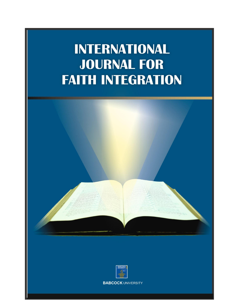# **INTERNATIONAL JOURNAL FOR FAITH INTEGRATION**



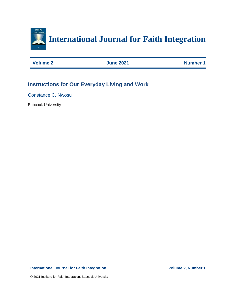

| <b>Volume 2</b> | <b>June 2021</b> | <b>Number 1</b> |
|-----------------|------------------|-----------------|
|                 |                  |                 |

## **Instructions for Our Everyday Living and Work**

Constance C. Nwosu

Babcock University

## **International Journal for Faith Integration Volume 2, Number 1**

© 2021 Institute for Faith Integration, Babcock University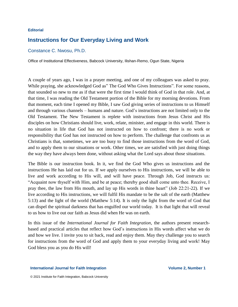## **Editorial**

## **Instructions for Our Everyday Living and Work**

## Constance C. Nwosu, Ph.D.

Office of Institutional Effectiveness, Babcock University, Ilishan-Remo, Ogun State, Nigeria

A couple of years ago, I was in a prayer meeting, and one of my colleagues was asked to pray. While praying, she acknowledged God as" The God Who Gives Instructions". For some reasons, that sounded so new to me as if that were the first time I would think of God in that role. And, at that time, I was reading the Old Testament portion of the Bible for my morning devotions. From that moment, each time I opened my Bible, I saw God giving series of instructions to us Himself and through various channels – humans and nature. God's instructions are not limited only to the Old Testament. The New Testament is replete with instructions from Jesus Christ and His disciples on how Christians should live, work, relate, minister, and engage in this world. There is no situation in life that God has not instructed on how to confront; there is no work or responsibility that God has not instructed on how to perform. The challenge that confronts us as Christians is that, sometimes, we are too busy to find those instructions from the word of God, and to apply them to our situations or work. Other times, we are satisfied with just doing things the way they have always been done, without asking what the Lord says about those situations.

The Bible is our instruction book. In it, we find the God Who gives us instructions and the instructions He has laid out for us. If we apply ourselves to His instructions, we will be able to live and work according to His will, and will have peace. Through Job, God instructs us: "Acquaint now thyself with Him, and be at peace; thereby good shall come unto thee. Receive, I pray thee, the law from His mouth, and lay up His words in thine heart" (Job 22:21-22). If we live according to His instructions, we will fulfil His mandate to be the salt of the earth (Matthew 5:13) and the light of the world (Matthew 5:14). It is only the light from the word of God that can dispel the spiritual darkness that has engulfed our world today. It is that light that will reveal to us how to live out our faith as Jesus did when He was on earth.

In this issue of the *International Journal for Faith Integration*, the authors present researchbased and practical articles that reflect how God's instructions in His words affect what we do and how we live. I invite you to sit back, read and enjoy them. May they challenge you to search for instructions from the word of God and apply them to your everyday living and work! May God bless you as you do His will!

## **International Journal for Faith Integration Volume 2, Number 1**

© 2021 Institute for Faith Integration, Babcock University